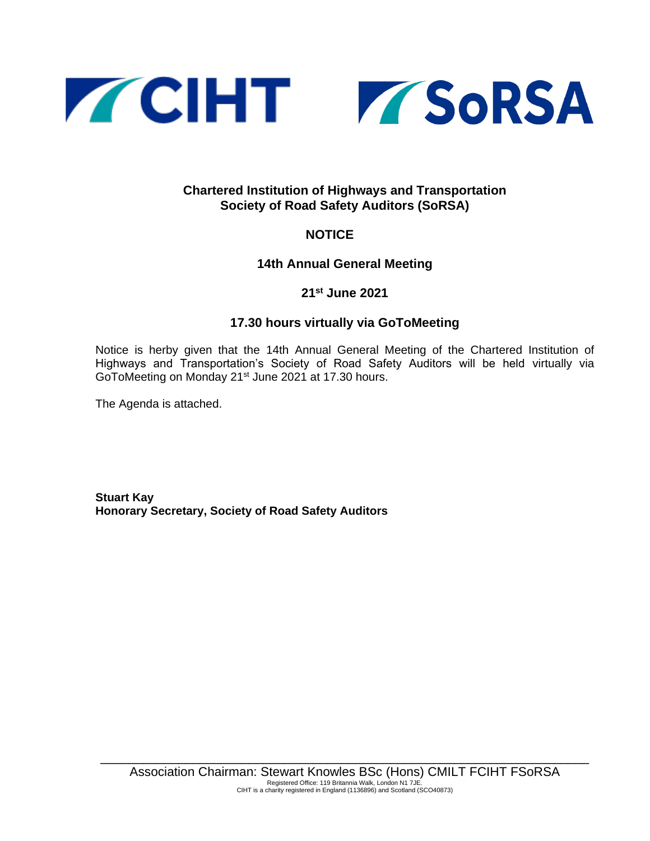



## **Chartered Institution of Highways and Transportation Society of Road Safety Auditors (SoRSA)**

# **NOTICE**

**14th Annual General Meeting**

# **21st June 2021**

## **17.30 hours virtually via GoToMeeting**

Notice is herby given that the 14th Annual General Meeting of the Chartered Institution of Highways and Transportation's Society of Road Safety Auditors will be held virtually via GoToMeeting on Monday 21st June 2021 at 17.30 hours.

The Agenda is attached.

**Stuart Kay Honorary Secretary, Society of Road Safety Auditors**

\_\_\_\_\_\_\_\_\_\_\_\_\_\_\_\_\_\_\_\_\_\_\_\_\_\_\_\_\_\_\_\_\_\_\_\_\_\_\_\_\_\_\_\_\_\_\_\_\_\_\_\_\_\_\_\_\_\_\_\_\_\_\_\_\_\_\_\_\_